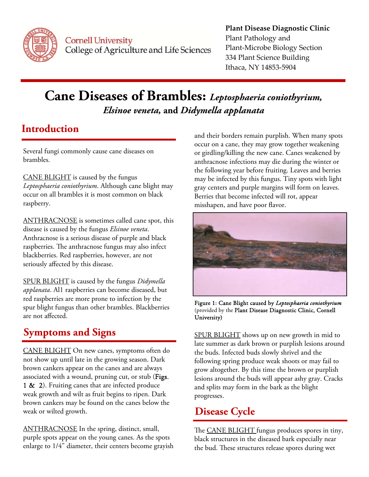

**Cornell University** College of Agriculture and Life Sciences

#### **Plant Disease Diagnostic Clinic** Plant Pathology and Plant‐Microbe Biology Section 334 Plant Science Building Ithaca, NY 14853‐5904

# **Cane Diseases of Brambles:** *Leptosphaeria coniothyrium, Elsinoe veneta,* **and** *Didymella applanata*

## **Introduction**

Several fungi commonly cause cane diseases on brambles.

CANE BLIGHT is caused by the fungus *Leptosphaeria coniothyrium*. Although cane blight may occur on all brambles it is most common on black raspberry.

ANTHRACNOSE is sometimes called cane spot, this disease is caused by the fungus *Elsinoe veneta*. Anthracnose is a serious disease of purple and black raspberries. The anthracnose fungus may also infect blackberries. Red raspberries, however, are not seriously affected by this disease.

SPUR BLIGHT is caused by the fungus *Didymella applanata*. Al1 raspberries can become diseased, but red raspberries are more prone to infection by the spur blight fungus than other brambles. Blackberries are not affected.

## **Symptoms and Signs**

CANE BLIGHT On new canes, symptoms often do not show up until late in the growing season. Dark brown cankers appear on the canes and are always associated with a wound, pruning cut, or stub (Figs. 1 & 2). Fruiting canes that are infected produce weak growth and wilt as fruit begins to ripen. Dark brown cankers may be found on the canes below the weak or wilted growth.

ANTHRACNOSE In the spring, distinct, small, purple spots appear on the young canes. As the spots enlarge to 1/4" diameter, their centers become grayish and their borders remain purplish. When many spots occur on a cane, they may grow together weakening or girdling/killing the new cane. Canes weakened by anthracnose infections may die during the winter or the following year before fruiting. Leaves and berries may be infected by this fungus. Tiny spots with light gray centers and purple margins will form on leaves. Berries that become infected will rot, appear misshapen, and have poor flavor.



Figure 1: Cane Blight caused by *Leptosphaeria coniothyrium*  (provided by the Plant Disease Diagnostic Clinic, Cornell University)

SPUR BLIGHT shows up on new growth in mid to late summer as dark brown or purplish lesions around the buds. Infected buds slowly shrivel and the following spring produce weak shoots or may fail to grow altogether. By this time the brown or purplish lesions around the buds will appear ashy gray. Cracks and splits may form in the bark as the blight progresses.

### **Disease Cycle**

The CANE BLIGHT fungus produces spores in tiny, black structures in the diseased bark especially near the bud. These structures release spores during wet